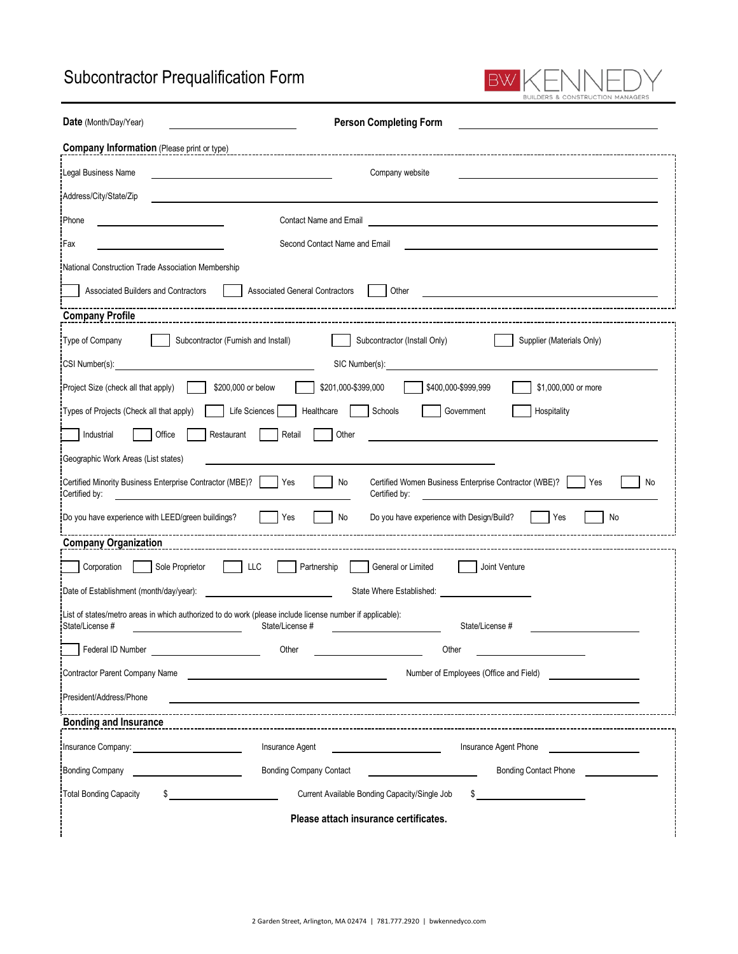## Subcontractor Prequalification Form

| <b>Person Completing Form</b><br>Date (Month/Day/Year)                                                                                                                                                                                               |
|------------------------------------------------------------------------------------------------------------------------------------------------------------------------------------------------------------------------------------------------------|
| <b>Company Information (Please print or type)</b>                                                                                                                                                                                                    |
| Legal Business Name<br>Company website                                                                                                                                                                                                               |
| Address/City/State/Zip                                                                                                                                                                                                                               |
| Phone<br>Contact Name and Email                                                                                                                                                                                                                      |
| Fax<br>Second Contact Name and Email                                                                                                                                                                                                                 |
| National Construction Trade Association Membership                                                                                                                                                                                                   |
| Associated Builders and Contractors<br>Other<br><b>Associated General Contractors</b>                                                                                                                                                                |
| <b>Company Profile</b>                                                                                                                                                                                                                               |
| Type of Company<br>Subcontractor (Furnish and Install)<br>Subcontractor (Install Only)<br>Supplier (Materials Only)                                                                                                                                  |
| CSI Number(s): <u>contract the contract of</u> the contract of the contract of the contract of the contract of the contract of the contract of the contract of the contract of the contract of the contract of the contract of the<br>SIC Number(s): |
| \$201,000-\$399,000<br>\$1,000,000 or more<br>\$200,000 or below<br>\$400,000-\$999,999<br>Project Size (check all that apply)                                                                                                                       |
| Life Sciences<br>Healthcare<br>Schools<br>Government<br>Hospitality<br>Types of Projects (Check all that apply)                                                                                                                                      |
| Office<br>Industrial<br>Restaurant<br>Other<br>Retail                                                                                                                                                                                                |
| Geographic Work Areas (List states)                                                                                                                                                                                                                  |
| Certified Minority Business Enterprise Contractor (MBE)?<br>Certified Women Business Enterprise Contractor (WBE)?<br>Yes<br>No<br>Yes<br>No<br>Certified by:<br>Certified by:                                                                        |
| <b>No</b><br>Do you have experience with LEED/green buildings?<br>Yes<br>No<br>Do you have experience with Design/Build?<br>Yes                                                                                                                      |
| <b>Company Organization</b>                                                                                                                                                                                                                          |
| <b>LLC</b><br>Sole Proprietor<br>Corporation<br>Partnership<br>General or Limited<br>Joint Venture                                                                                                                                                   |
| Date of Establishment (month/day/year):<br>State Where Established:                                                                                                                                                                                  |
| List of states/metro areas in which authorized to do work (please include license number if applicable):<br>State/License #<br>State/License #<br>State/License #                                                                                    |
| Federal ID Number<br>Other<br>Other                                                                                                                                                                                                                  |
| Contractor Parent Company Name<br>Number of Employees (Office and Field)                                                                                                                                                                             |
| President/Address/Phone                                                                                                                                                                                                                              |

 $\exists\Box\Gamma$ 

RS & CONSTRUCTION MANAGERS

I I

ίF

BW

| <b>Bonding and Insurance</b>                                                                                                                                                                                                        |                                               |                              |  |  |
|-------------------------------------------------------------------------------------------------------------------------------------------------------------------------------------------------------------------------------------|-----------------------------------------------|------------------------------|--|--|
| Insurance Company: <b>company</b> and the settlement of the settlement of the settlement of the settlement of the settlement of the settlement of the settlement of the settlement of the settlement of the settlement of the settl | <b>Insurance Agent</b>                        | Insurance Agent Phone        |  |  |
| <b>Bonding Company</b>                                                                                                                                                                                                              | <b>Bonding Company Contact</b>                | <b>Bonding Contact Phone</b> |  |  |
| Total Bonding Capacity                                                                                                                                                                                                              | Current Available Bonding Capacity/Single Job |                              |  |  |
| Please attach insurance certificates.                                                                                                                                                                                               |                                               |                              |  |  |

2 Garden Street, Arlington, MA 02474 | 781.777.2920 | bwkennedyco.com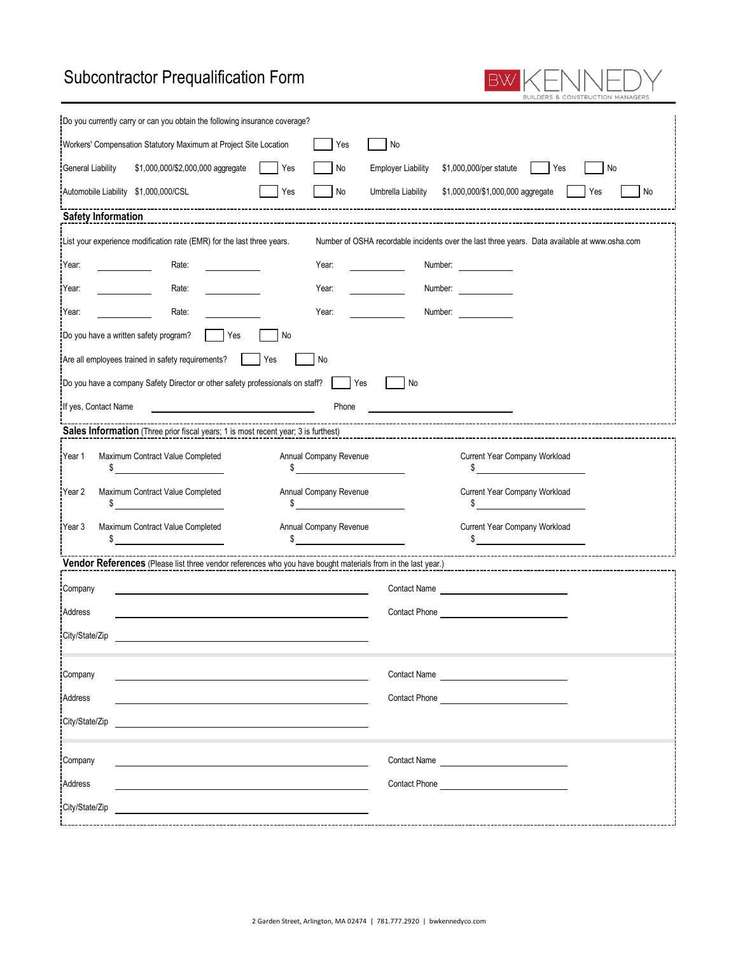## Subcontractor Prequalification Form

| <b>Subcontractor Prequalification Form</b>                                                                                                                                                                                                                                                                                                                                                                                                                                    |                                                  |                                                      |                |  |
|-------------------------------------------------------------------------------------------------------------------------------------------------------------------------------------------------------------------------------------------------------------------------------------------------------------------------------------------------------------------------------------------------------------------------------------------------------------------------------|--------------------------------------------------|------------------------------------------------------|----------------|--|
| Do you currently carry or can you obtain the following insurance coverage?                                                                                                                                                                                                                                                                                                                                                                                                    |                                                  |                                                      |                |  |
| Workers' Compensation Statutory Maximum at Project Site Location                                                                                                                                                                                                                                                                                                                                                                                                              | No<br>Yes                                        |                                                      |                |  |
| Yes<br>General Liability<br>\$1,000,000/\$2,000,000 aggregate                                                                                                                                                                                                                                                                                                                                                                                                                 | Employer Liability \$1,000,000/per statute<br>No | <b>Table 19</b> Yes                                  | No             |  |
| Yes<br>Automobile Liability \$1,000,000/CSL                                                                                                                                                                                                                                                                                                                                                                                                                                   | $\blacksquare$ No                                | Umbrella Liability \$1,000,000/\$1,000,000 aggregate | l No<br>I lYes |  |
|                                                                                                                                                                                                                                                                                                                                                                                                                                                                               |                                                  |                                                      |                |  |
| List your experience modification rate (EMR) for the last three years.<br>Number of OSHA recordable incidents over the last three years. Data available at www.osha.com                                                                                                                                                                                                                                                                                                       |                                                  |                                                      |                |  |
| Year:<br>Rate:                                                                                                                                                                                                                                                                                                                                                                                                                                                                | Year:                                            | Number:                                              |                |  |
| Year:<br>Rate:                                                                                                                                                                                                                                                                                                                                                                                                                                                                | Year:                                            | Number:                                              |                |  |
| Rate:<br>Year:                                                                                                                                                                                                                                                                                                                                                                                                                                                                | Year:<br>Number:                                 |                                                      |                |  |
| Do you have a written safety program?<br>Yes<br>No                                                                                                                                                                                                                                                                                                                                                                                                                            |                                                  |                                                      |                |  |
| Are all employees trained in safety requirements?<br>  Yes                                                                                                                                                                                                                                                                                                                                                                                                                    | No                                               |                                                      |                |  |
| Do you have a company Safety Director or other safety professionals on staff? Yes                                                                                                                                                                                                                                                                                                                                                                                             | No.                                              |                                                      |                |  |
| <u> 1990 - Johann Barbara, martin a</u><br>If yes, Contact Name                                                                                                                                                                                                                                                                                                                                                                                                               | Phone                                            |                                                      |                |  |
|                                                                                                                                                                                                                                                                                                                                                                                                                                                                               |                                                  |                                                      |                |  |
| Maximum Contract Value Completed<br>Year 1<br>$\frac{1}{\sqrt{1-\frac{1}{2}}}\frac{1}{\sqrt{1-\frac{1}{2}}}\frac{1}{\sqrt{1-\frac{1}{2}}}\frac{1}{\sqrt{1-\frac{1}{2}}}\frac{1}{\sqrt{1-\frac{1}{2}}}\frac{1}{\sqrt{1-\frac{1}{2}}}\frac{1}{\sqrt{1-\frac{1}{2}}}\frac{1}{\sqrt{1-\frac{1}{2}}}\frac{1}{\sqrt{1-\frac{1}{2}}}\frac{1}{\sqrt{1-\frac{1}{2}}}\frac{1}{\sqrt{1-\frac{1}{2}}}\frac{1}{\sqrt{1-\frac{1}{2}}}\frac{1}{\sqrt{1-\frac{1}{2}}}\frac{1}{\sqrt{1-\frac{$ | Annual Company Revenue<br>$\frac{1}{2}$          | Current Year Company Workload<br>$\frac{1}{2}$       |                |  |
| Maximum Contract Value Completed<br>Year 2<br>\$                                                                                                                                                                                                                                                                                                                                                                                                                              | Annual Company Revenue<br>$\sim$                 | Current Year Company Workload<br>$\sim$              |                |  |
| Maximum Contract Value Completed<br>Year 3<br>\$                                                                                                                                                                                                                                                                                                                                                                                                                              | Annual Company Revenue<br>$\frac{1}{2}$          | Current Year Company Workload<br>$\frac{1}{2}$       |                |  |
| <b>THEORY CONSUMED TEAM</b> CONSUMPTED THEORY CONSUMPTED THEORY CONSUMPTED TO THE USE OF THE USE OF THE USE OF THE US<br><b>Vendor References</b> (Please list three vendor references who you have bought materials from in the last year.                                                                                                                                                                                                                                   |                                                  |                                                      |                |  |
| Company                                                                                                                                                                                                                                                                                                                                                                                                                                                                       | <b>Contact Name</b>                              |                                                      |                |  |
| Address                                                                                                                                                                                                                                                                                                                                                                                                                                                                       | Contact Phone                                    |                                                      |                |  |
| City/State/Zip                                                                                                                                                                                                                                                                                                                                                                                                                                                                |                                                  |                                                      |                |  |
| Company                                                                                                                                                                                                                                                                                                                                                                                                                                                                       |                                                  | Contact Name                                         |                |  |
| Address                                                                                                                                                                                                                                                                                                                                                                                                                                                                       |                                                  | Contact Phone Contact Phone                          |                |  |
| City/State/Zip                                                                                                                                                                                                                                                                                                                                                                                                                                                                |                                                  |                                                      |                |  |
| Company                                                                                                                                                                                                                                                                                                                                                                                                                                                                       |                                                  | Contact Name                                         |                |  |
| Address                                                                                                                                                                                                                                                                                                                                                                                                                                                                       |                                                  | Contact Phone <b>Example 2018</b>                    |                |  |
| City/State/Zip                                                                                                                                                                                                                                                                                                                                                                                                                                                                |                                                  |                                                      |                |  |
|                                                                                                                                                                                                                                                                                                                                                                                                                                                                               |                                                  |                                                      |                |  |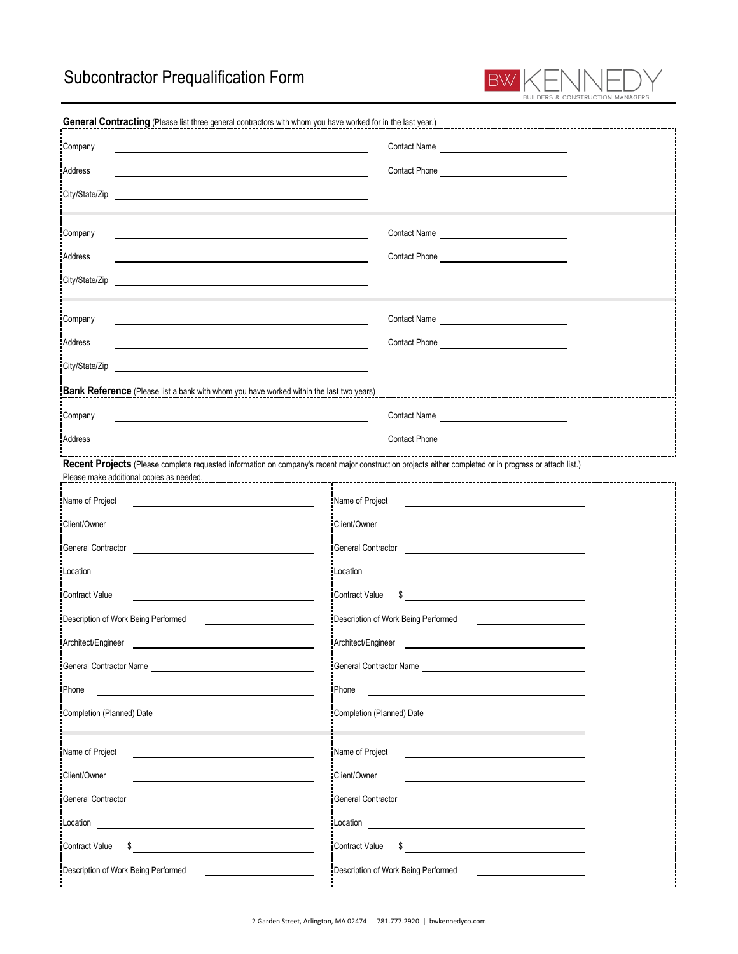

| General Contracting (Please list three general contractors with whom you have worked for in the last year.)                                                                                                                          |                                                                                                                                                                                                                                      |
|--------------------------------------------------------------------------------------------------------------------------------------------------------------------------------------------------------------------------------------|--------------------------------------------------------------------------------------------------------------------------------------------------------------------------------------------------------------------------------------|
| Company                                                                                                                                                                                                                              | Contact Name                                                                                                                                                                                                                         |
| Address                                                                                                                                                                                                                              |                                                                                                                                                                                                                                      |
| City/State/Zip                                                                                                                                                                                                                       |                                                                                                                                                                                                                                      |
| Company<br><u> 1980 - Jan Barnett, fransk politik (d. 1980)</u>                                                                                                                                                                      | Contact Name                                                                                                                                                                                                                         |
| Address                                                                                                                                                                                                                              |                                                                                                                                                                                                                                      |
| City/State/Zip                                                                                                                                                                                                                       |                                                                                                                                                                                                                                      |
| Company<br><u> 1980 - Johann Barn, mars ann an t-Amhainn an t-Amhainn an t-Amhainn an t-Amhainn an t-Amhainn an t-Amhainn an</u>                                                                                                     | Contact Name                                                                                                                                                                                                                         |
| Address                                                                                                                                                                                                                              | Contact Phone <b>Contact Phone</b>                                                                                                                                                                                                   |
| City/State/Zip                                                                                                                                                                                                                       |                                                                                                                                                                                                                                      |
| Bank Reference (Please list a bank with whom you have worked within the last two years)                                                                                                                                              |                                                                                                                                                                                                                                      |
| Company                                                                                                                                                                                                                              |                                                                                                                                                                                                                                      |
| Address                                                                                                                                                                                                                              |                                                                                                                                                                                                                                      |
| Recent Projects (Please complete requested information on company's recent major construction projects either completed or in progress or attach list.)                                                                              | ---------------------------------                                                                                                                                                                                                    |
| Please make additional copies as needed.                                                                                                                                                                                             |                                                                                                                                                                                                                                      |
| Name of Project<br><u> 1980 - Johann Barn, mars ann an t-Amhain Aonaich an t-Aonaich an t-Aonaich ann an t-Aonaich ann an t-Aonaich</u>                                                                                              | Name of Project                                                                                                                                                                                                                      |
| Client/Owner<br>General Contractor                                                                                                                                                                                                   | Client/Owner<br><b>General Contractor</b>                                                                                                                                                                                            |
|                                                                                                                                                                                                                                      | <u> 1980 - Jan James James Jan James James James James James James James James James James James James James Jam</u>                                                                                                                 |
| <b>Contract Value</b>                                                                                                                                                                                                                | <b>Contract Value</b><br>$\sim$                                                                                                                                                                                                      |
| Description of Work Being Performed                                                                                                                                                                                                  | Description of Work Being Performed                                                                                                                                                                                                  |
| Architect/Engineer                                                                                                                                                                                                                   | Architect/Engineer                                                                                                                                                                                                                   |
|                                                                                                                                                                                                                                      | General Contractor Name <b>Serverse Serverse Serverse Serverse Serverse Serverse Serverse Serverse Serverse Serverse Serverse Serverse Serverse Serverse Serverse Serverse Serverse Serverse Serverse Serverse Serverse Serverse</b> |
| Phone                                                                                                                                                                                                                                | Phone                                                                                                                                                                                                                                |
| Completion (Planned) Date                                                                                                                                                                                                            | Completion (Planned) Date                                                                                                                                                                                                            |
|                                                                                                                                                                                                                                      |                                                                                                                                                                                                                                      |
| Name of Project                                                                                                                                                                                                                      | Name of Project                                                                                                                                                                                                                      |
| Client/Owner                                                                                                                                                                                                                         | Client/Owner                                                                                                                                                                                                                         |
| General Contractor<br>the control of the control of the control of the control of the control of the control of                                                                                                                      | General Contractor<br><u> 1989 - Johann John Stein, markin film yn y brening yn y brening yn y brening yn y brening yn y brening yn y b</u>                                                                                          |
| Location <b>Exercise Contract Contract Contract Contract Contract Contract Contract Contract Contract Contract Contract Contract Contract Contract Contract Contract Contract Contract Contract Contract Contract Contract Contr</b> | Location <b>Exercísion Exercísion Exercísion Exercísion</b>                                                                                                                                                                          |
| \$<br><b>Contract Value</b>                                                                                                                                                                                                          | <b>Contract Value</b>                                                                                                                                                                                                                |
| Description of Work Being Performed                                                                                                                                                                                                  | Description of Work Being Performed                                                                                                                                                                                                  |